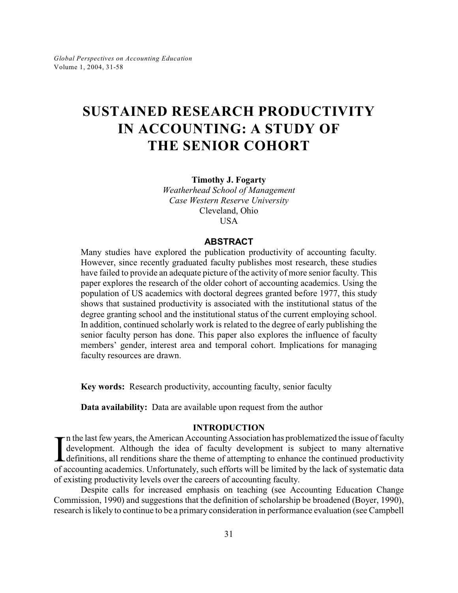# **SUSTAINED RESEARCH PRODUCTIVITY IN ACCOUNTING: A STUDY OF THE SENIOR COHORT**

**Timothy J. Fogarty**

*Weatherhead School of Management Case Western Reserve University* Cleveland, Ohio USA

### **ABSTRACT**

Many studies have explored the publication productivity of accounting faculty. However, since recently graduated faculty publishes most research, these studies have failed to provide an adequate picture of the activity of more senior faculty. This paper explores the research of the older cohort of accounting academics. Using the population of US academics with doctoral degrees granted before 1977, this study shows that sustained productivity is associated with the institutional status of the degree granting school and the institutional status of the current employing school. In addition, continued scholarly work is related to the degree of early publishing the senior faculty person has done. This paper also explores the influence of faculty members' gender, interest area and temporal cohort. Implications for managing faculty resources are drawn.

**Key words:** Research productivity, accounting faculty, senior faculty

**Data availability:** Data are available upon request from the author

### **INTRODUCTION**

In the last few years, the American Accounting Association has problematized the issue of faculty development. Although the idea of faculty development is subject to many alternative definitions, all renditions share the t  $\tau$ n the last few years, the American Accounting Association has problematized the issue of faculty development. Although the idea of faculty development is subject to many alternative definitions, all renditions share the theme of attempting to enhance the continued productivity of existing productivity levels over the careers of accounting faculty.

Despite calls for increased emphasis on teaching (see Accounting Education Change Commission, 1990) and suggestions that the definition of scholarship be broadened (Boyer, 1990), research is likely to continue to be a primary consideration in performance evaluation (see Campbell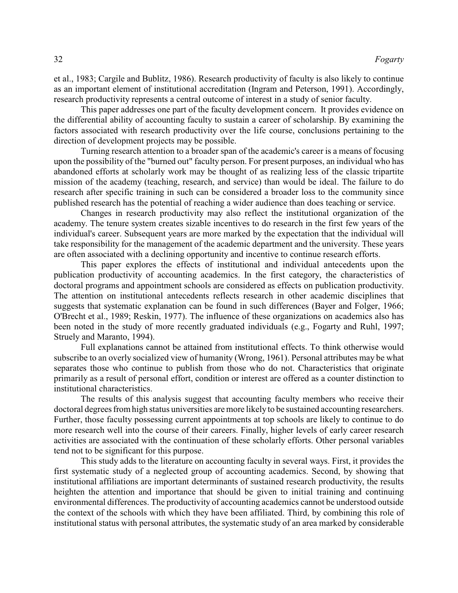et al., 1983; Cargile and Bublitz, 1986). Research productivity of faculty is also likely to continue as an important element of institutional accreditation (Ingram and Peterson, 1991). Accordingly, research productivity represents a central outcome of interest in a study of senior faculty.

This paper addresses one part of the faculty development concern. It provides evidence on the differential ability of accounting faculty to sustain a career of scholarship. By examining the factors associated with research productivity over the life course, conclusions pertaining to the direction of development projects may be possible.

Turning research attention to a broader span of the academic's career is a means of focusing upon the possibility of the "burned out" faculty person. For present purposes, an individual who has abandoned efforts at scholarly work may be thought of as realizing less of the classic tripartite mission of the academy (teaching, research, and service) than would be ideal. The failure to do research after specific training in such can be considered a broader loss to the community since published research has the potential of reaching a wider audience than does teaching or service.

Changes in research productivity may also reflect the institutional organization of the academy. The tenure system creates sizable incentives to do research in the first few years of the individual's career. Subsequent years are more marked by the expectation that the individual will take responsibility for the management of the academic department and the university. These years are often associated with a declining opportunity and incentive to continue research efforts.

This paper explores the effects of institutional and individual antecedents upon the publication productivity of accounting academics. In the first category, the characteristics of doctoral programs and appointment schools are considered as effects on publication productivity. The attention on institutional antecedents reflects research in other academic disciplines that suggests that systematic explanation can be found in such differences (Bayer and Folger, 1966; O'Brecht et al., 1989; Reskin, 1977). The influence of these organizations on academics also has been noted in the study of more recently graduated individuals (e.g., Fogarty and Ruhl, 1997; Struely and Maranto, 1994).

Full explanations cannot be attained from institutional effects. To think otherwise would subscribe to an overly socialized view of humanity (Wrong, 1961). Personal attributes may be what separates those who continue to publish from those who do not. Characteristics that originate primarily as a result of personal effort, condition or interest are offered as a counter distinction to institutional characteristics.

The results of this analysis suggest that accounting faculty members who receive their doctoral degrees from high status universities are more likely to be sustained accounting researchers. Further, those faculty possessing current appointments at top schools are likely to continue to do more research well into the course of their careers. Finally, higher levels of early career research activities are associated with the continuation of these scholarly efforts. Other personal variables tend not to be significant for this purpose.

This study adds to the literature on accounting faculty in several ways. First, it provides the first systematic study of a neglected group of accounting academics. Second, by showing that institutional affiliations are important determinants of sustained research productivity, the results heighten the attention and importance that should be given to initial training and continuing environmental differences. The productivity of accounting academics cannot be understood outside the context of the schools with which they have been affiliated. Third, by combining this role of institutional status with personal attributes, the systematic study of an area marked by considerable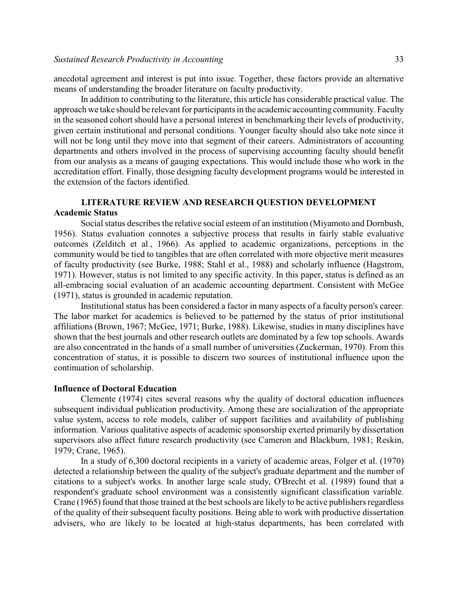anecdotal agreement and interest is put into issue. Together, these factors provide an alternative means of understanding the broader literature on faculty productivity.

In addition to contributing to the literature, this article has considerable practical value. The approach we take should be relevant for participants in the academic accounting community. Faculty in the seasoned cohort should have a personal interest in benchmarking their levels of productivity, given certain institutional and personal conditions. Younger faculty should also take note since it will not be long until they move into that segment of their careers. Administrators of accounting departments and others involved in the process of supervising accounting faculty should benefit from our analysis as a means of gauging expectations. This would include those who work in the accreditation effort. Finally, those designing faculty development programs would be interested in the extension of the factors identified.

# **LITERATURE REVIEW AND RESEARCH QUESTION DEVELOPMENT Academic Status**

Social status describes the relative social esteem of an institution (Miyamoto and Dornbush, 1956). Status evaluation connotes a subjective process that results in fairly stable evaluative outcomes (Zelditch et al., 1966). As applied to academic organizations, perceptions in the community would be tied to tangibles that are often correlated with more objective merit measures of faculty productivity (see Burke, 1988; Stahl et al., 1988) and scholarly influence (Hagstrom, 1971). However, status is not limited to any specific activity. In this paper, status is defined as an all-embracing social evaluation of an academic accounting department. Consistent with McGee (1971), status is grounded in academic reputation.

Institutional status has been considered a factor in many aspects of a faculty person's career. The labor market for academics is believed to be patterned by the status of prior institutional affiliations (Brown, 1967; McGee, 1971; Burke, 1988). Likewise, studies in many disciplines have shown that the best journals and other research outlets are dominated by a few top schools. Awards are also concentrated in the hands of a small number of universities (Zuckerman, 1970). From this concentration of status, it is possible to discern two sources of institutional influence upon the continuation of scholarship.

### **Influence of Doctoral Education**

Clemente (1974) cites several reasons why the quality of doctoral education influences subsequent individual publication productivity. Among these are socialization of the appropriate value system, access to role models, caliber of support facilities and availability of publishing information. Various qualitative aspects of academic sponsorship exerted primarily by dissertation supervisors also affect future research productivity (see Cameron and Blackburn, 1981; Reskin, 1979; Crane, 1965).

In a study of 6,300 doctoral recipients in a variety of academic areas, Folger et al. (1970) detected a relationship between the quality of the subject's graduate department and the number of citations to a subject's works. In another large scale study, O'Brecht et al. (1989) found that a respondent's graduate school environment was a consistently significant classification variable. Crane (1965) found that those trained at the best schools are likely to be active publishers regardless of the quality of their subsequent faculty positions. Being able to work with productive dissertation advisers, who are likely to be located at high-status departments, has been correlated with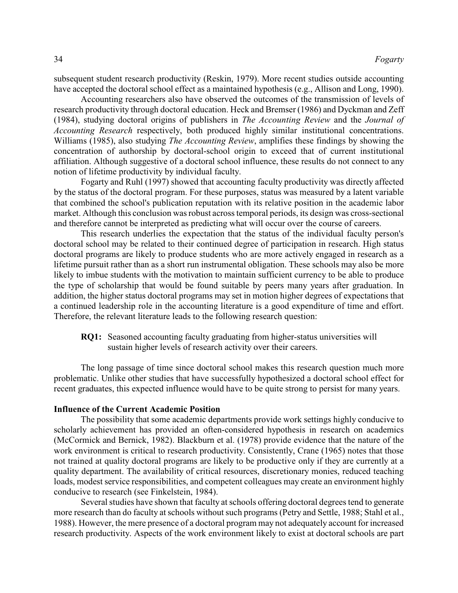subsequent student research productivity (Reskin, 1979). More recent studies outside accounting have accepted the doctoral school effect as a maintained hypothesis (e.g., Allison and Long, 1990).

Accounting researchers also have observed the outcomes of the transmission of levels of research productivity through doctoral education. Heck and Bremser (1986) and Dyckman and Zeff (1984), studying doctoral origins of publishers in *The Accounting Review* and the *Journal of Accounting Research* respectively, both produced highly similar institutional concentrations. Williams (1985), also studying *The Accounting Review*, amplifies these findings by showing the concentration of authorship by doctoral-school origin to exceed that of current institutional affiliation. Although suggestive of a doctoral school influence, these results do not connect to any notion of lifetime productivity by individual faculty.

Fogarty and Ruhl (1997) showed that accounting faculty productivity was directly affected by the status of the doctoral program. For these purposes, status was measured by a latent variable that combined the school's publication reputation with its relative position in the academic labor market. Although this conclusion was robust across temporal periods, its design was cross-sectional and therefore cannot be interpreted as predicting what will occur over the course of careers.

This research underlies the expectation that the status of the individual faculty person's doctoral school may be related to their continued degree of participation in research. High status doctoral programs are likely to produce students who are more actively engaged in research as a lifetime pursuit rather than as a short run instrumental obligation. These schools may also be more likely to imbue students with the motivation to maintain sufficient currency to be able to produce the type of scholarship that would be found suitable by peers many years after graduation. In addition, the higher status doctoral programs may set in motion higher degrees of expectations that a continued leadership role in the accounting literature is a good expenditure of time and effort. Therefore, the relevant literature leads to the following research question:

**RQ1:** Seasoned accounting faculty graduating from higher-status universities will sustain higher levels of research activity over their careers.

The long passage of time since doctoral school makes this research question much more problematic. Unlike other studies that have successfully hypothesized a doctoral school effect for recent graduates, this expected influence would have to be quite strong to persist for many years.

### **Influence of the Current Academic Position**

The possibility that some academic departments provide work settings highly conducive to scholarly achievement has provided an often-considered hypothesis in research on academics (McCormick and Bernick, 1982). Blackburn et al. (1978) provide evidence that the nature of the work environment is critical to research productivity. Consistently, Crane (1965) notes that those not trained at quality doctoral programs are likely to be productive only if they are currently at a quality department. The availability of critical resources, discretionary monies, reduced teaching loads, modest service responsibilities, and competent colleagues may create an environment highly conducive to research (see Finkelstein, 1984).

Several studies have shown that faculty at schools offering doctoral degrees tend to generate more research than do faculty at schools without such programs (Petry and Settle, 1988; Stahl et al., 1988). However, the mere presence of a doctoral program may not adequately account for increased research productivity. Aspects of the work environment likely to exist at doctoral schools are part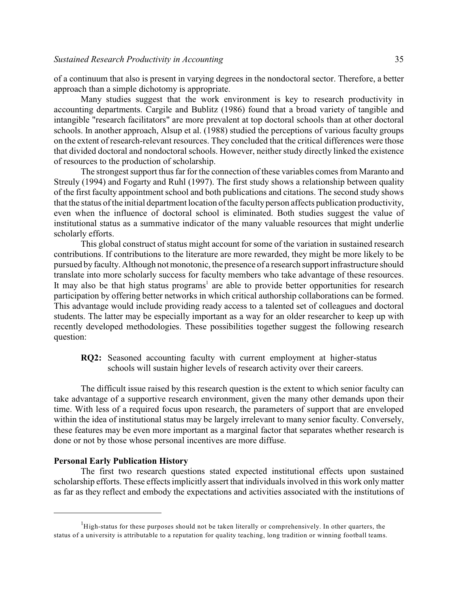of a continuum that also is present in varying degrees in the nondoctoral sector. Therefore, a better approach than a simple dichotomy is appropriate.

Many studies suggest that the work environment is key to research productivity in accounting departments. Cargile and Bublitz (1986) found that a broad variety of tangible and intangible "research facilitators" are more prevalent at top doctoral schools than at other doctoral schools. In another approach, Alsup et al. (1988) studied the perceptions of various faculty groups on the extent of research-relevant resources. They concluded that the critical differences were those that divided doctoral and nondoctoral schools. However, neither study directly linked the existence of resources to the production of scholarship.

The strongest support thus far for the connection of these variables comes from Maranto and Streuly (1994) and Fogarty and Ruhl (1997). The first study shows a relationship between quality of the first faculty appointment school and both publications and citations. The second study shows that the status of the initial department location ofthe faculty person affects publication productivity, even when the influence of doctoral school is eliminated. Both studies suggest the value of institutional status as a summative indicator of the many valuable resources that might underlie scholarly efforts.

This global construct of status might account for some of the variation in sustained research contributions. If contributions to the literature are more rewarded, they might be more likely to be pursued by faculty. Although not monotonic, the presence of a research support infrastructure should translate into more scholarly success for faculty members who take advantage of these resources. It may also be that high status programs<sup>1</sup> are able to provide better opportunities for research participation by offering better networks in which critical authorship collaborations can be formed. This advantage would include providing ready access to a talented set of colleagues and doctoral students. The latter may be especially important as a way for an older researcher to keep up with recently developed methodologies. These possibilities together suggest the following research question:

**RQ2:** Seasoned accounting faculty with current employment at higher-status schools will sustain higher levels of research activity over their careers.

The difficult issue raised by this research question is the extent to which senior faculty can take advantage of a supportive research environment, given the many other demands upon their time. With less of a required focus upon research, the parameters of support that are enveloped within the idea of institutional status may be largely irrelevant to many senior faculty. Conversely, these features may be even more important as a marginal factor that separates whether research is done or not by those whose personal incentives are more diffuse.

### **Personal Early Publication History**

The first two research questions stated expected institutional effects upon sustained scholarship efforts. These effects implicitly assert that individuals involved in this work only matter as far as they reflect and embody the expectations and activities associated with the institutions of

 $<sup>1</sup>$ High-status for these purposes should not be taken literally or comprehensively. In other quarters, the</sup> status of a university is attributable to a reputation for quality teaching, long tradition or winning football teams.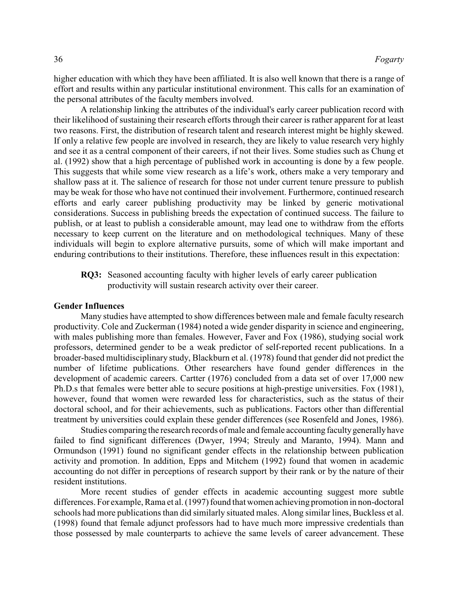higher education with which they have been affiliated. It is also well known that there is a range of effort and results within any particular institutional environment. This calls for an examination of the personal attributes of the faculty members involved.

A relationship linking the attributes of the individual's early career publication record with their likelihood of sustaining their research efforts through their career is rather apparent for at least two reasons. First, the distribution of research talent and research interest might be highly skewed. If only a relative few people are involved in research, they are likely to value research very highly and see it as a central component of their careers, if not their lives. Some studies such as Chung et al. (1992) show that a high percentage of published work in accounting is done by a few people. This suggests that while some view research as a life's work, others make a very temporary and shallow pass at it. The salience of research for those not under current tenure pressure to publish may be weak for those who have not continued their involvement. Furthermore, continued research efforts and early career publishing productivity may be linked by generic motivational considerations. Success in publishing breeds the expectation of continued success. The failure to publish, or at least to publish a considerable amount, may lead one to withdraw from the efforts necessary to keep current on the literature and on methodological techniques. Many of these individuals will begin to explore alternative pursuits, some of which will make important and enduring contributions to their institutions. Therefore, these influences result in this expectation:

**RQ3:** Seasoned accounting faculty with higher levels of early career publication productivity will sustain research activity over their career.

### **Gender Influences**

Many studies have attempted to show differences between male and female faculty research productivity. Cole and Zuckerman (1984) noted a wide gender disparity in science and engineering, with males publishing more than females. However, Faver and Fox (1986), studying social work professors, determined gender to be a weak predictor of self-reported recent publications. In a broader-based multidisciplinary study, Blackburn et al. (1978) found that gender did not predict the number of lifetime publications. Other researchers have found gender differences in the development of academic careers. Cartter (1976) concluded from a data set of over 17,000 new Ph.D.s that females were better able to secure positions at high-prestige universities. Fox (1981), however, found that women were rewarded less for characteristics, such as the status of their doctoral school, and for their achievements, such as publications. Factors other than differential treatment by universities could explain these gender differences (see Rosenfeld and Jones, 1986).

Studies comparing the research records of male and female accounting faculty generally have failed to find significant differences (Dwyer, 1994; Streuly and Maranto, 1994). Mann and Ormundson (1991) found no significant gender effects in the relationship between publication activity and promotion. In addition, Epps and Mitchem (1992) found that women in academic accounting do not differ in perceptions of research support by their rank or by the nature of their resident institutions.

More recent studies of gender effects in academic accounting suggest more subtle differences. For example, Rama et al. (1997) found that women achieving promotion in non-doctoral schools had more publications than did similarly situated males. Along similar lines, Buckless et al. (1998) found that female adjunct professors had to have much more impressive credentials than those possessed by male counterparts to achieve the same levels of career advancement. These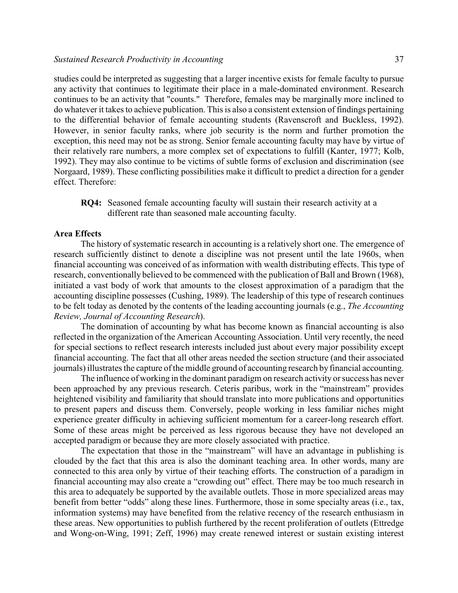studies could be interpreted as suggesting that a larger incentive exists for female faculty to pursue any activity that continues to legitimate their place in a male-dominated environment. Research continues to be an activity that "counts." Therefore, females may be marginally more inclined to do whatever it takes to achieve publication. This is also a consistent extension of findings pertaining to the differential behavior of female accounting students (Ravenscroft and Buckless, 1992). However, in senior faculty ranks, where job security is the norm and further promotion the exception, this need may not be as strong. Senior female accounting faculty may have by virtue of their relatively rare numbers, a more complex set of expectations to fulfill (Kanter, 1977; Kolb, 1992). They may also continue to be victims of subtle forms of exclusion and discrimination (see Norgaard, 1989). These conflicting possibilities make it difficult to predict a direction for a gender effect. Therefore:

**RQ4:** Seasoned female accounting faculty will sustain their research activity at a different rate than seasoned male accounting faculty.

### **Area Effects**

The history of systematic research in accounting is a relatively short one. The emergence of research sufficiently distinct to denote a discipline was not present until the late 1960s, when financial accounting was conceived of as information with wealth distributing effects. This type of research, conventionally believed to be commenced with the publication of Ball and Brown (1968), initiated a vast body of work that amounts to the closest approximation of a paradigm that the accounting discipline possesses (Cushing, 1989). The leadership of this type of research continues to be felt today as denoted by the contents of the leading accounting journals (e.g., *The Accounting Review, Journal of Accounting Research*).

The domination of accounting by what has become known as financial accounting is also reflected in the organization of the American Accounting Association. Until very recently, the need for special sections to reflect research interests included just about every major possibility except financial accounting. The fact that all other areas needed the section structure (and their associated journals) illustrates the capture of the middle ground of accounting research by financial accounting.

The influence of working in the dominant paradigm on research activity or success has never been approached by any previous research. Ceteris paribus, work in the "mainstream" provides heightened visibility and familiarity that should translate into more publications and opportunities to present papers and discuss them. Conversely, people working in less familiar niches might experience greater difficulty in achieving sufficient momentum for a career-long research effort. Some of these areas might be perceived as less rigorous because they have not developed an accepted paradigm or because they are more closely associated with practice.

The expectation that those in the "mainstream" will have an advantage in publishing is clouded by the fact that this area is also the dominant teaching area. In other words, many are connected to this area only by virtue of their teaching efforts. The construction of a paradigm in financial accounting may also create a "crowding out" effect. There may be too much research in this area to adequately be supported by the available outlets. Those in more specialized areas may benefit from better "odds" along these lines. Furthermore, those in some specialty areas (i.e., tax, information systems) may have benefited from the relative recency of the research enthusiasm in these areas. New opportunities to publish furthered by the recent proliferation of outlets (Ettredge and Wong-on-Wing, 1991; Zeff, 1996) may create renewed interest or sustain existing interest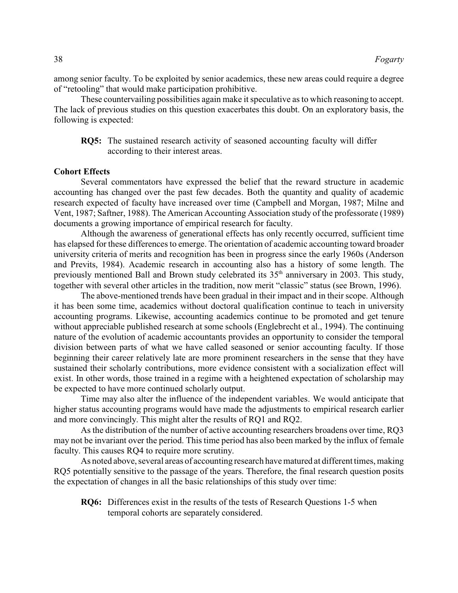among senior faculty. To be exploited by senior academics, these new areas could require a degree of "retooling" that would make participation prohibitive.

These countervailing possibilities again make it speculative as to which reasoning to accept. The lack of previous studies on this question exacerbates this doubt. On an exploratory basis, the following is expected:

**RQ5:** The sustained research activity of seasoned accounting faculty will differ according to their interest areas.

### **Cohort Effects**

Several commentators have expressed the belief that the reward structure in academic accounting has changed over the past few decades. Both the quantity and quality of academic research expected of faculty have increased over time (Campbell and Morgan, 1987; Milne and Vent, 1987; Saftner, 1988). The American Accounting Association study of the professorate (1989) documents a growing importance of empirical research for faculty.

Although the awareness of generational effects has only recently occurred, sufficient time has elapsed for these differences to emerge. The orientation of academic accounting toward broader university criteria of merits and recognition has been in progress since the early 1960s (Anderson and Previts, 1984). Academic research in accounting also has a history of some length. The previously mentioned Ball and Brown study celebrated its  $35<sup>th</sup>$  anniversary in 2003. This study, together with several other articles in the tradition, now merit "classic" status (see Brown, 1996).

The above-mentioned trends have been gradual in their impact and in their scope. Although it has been some time, academics without doctoral qualification continue to teach in university accounting programs. Likewise, accounting academics continue to be promoted and get tenure without appreciable published research at some schools (Englebrecht et al., 1994). The continuing nature of the evolution of academic accountants provides an opportunity to consider the temporal division between parts of what we have called seasoned or senior accounting faculty. If those beginning their career relatively late are more prominent researchers in the sense that they have sustained their scholarly contributions, more evidence consistent with a socialization effect will exist. In other words, those trained in a regime with a heightened expectation of scholarship may be expected to have more continued scholarly output.

Time may also alter the influence of the independent variables. We would anticipate that higher status accounting programs would have made the adjustments to empirical research earlier and more convincingly. This might alter the results of RQ1 and RQ2.

As the distribution of the number of active accounting researchers broadens over time, RQ3 may not be invariant over the period. This time period has also been marked by the influx of female faculty. This causes RQ4 to require more scrutiny.

As noted above, several areas of accounting research have matured at different times, making RQ5 potentially sensitive to the passage of the years. Therefore, the final research question posits the expectation of changes in all the basic relationships of this study over time:

**RQ6:** Differences exist in the results of the tests of Research Questions 1-5 when temporal cohorts are separately considered.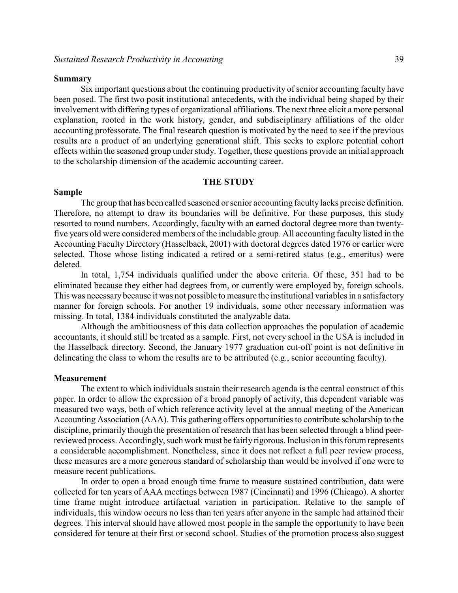### **Summary**

Six important questions about the continuing productivity of senior accounting faculty have been posed. The first two posit institutional antecedents, with the individual being shaped by their involvement with differing types of organizational affiliations. The next three elicit a more personal explanation, rooted in the work history, gender, and subdisciplinary affiliations of the older accounting professorate. The final research question is motivated by the need to see if the previous results are a product of an underlying generational shift. This seeks to explore potential cohort effects within the seasoned group under study. Together, these questions provide an initial approach to the scholarship dimension of the academic accounting career.

### **THE STUDY**

#### **Sample**

The group that has been called seasoned or senior accounting faculty lacks precise definition. Therefore, no attempt to draw its boundaries will be definitive. For these purposes, this study resorted to round numbers. Accordingly, faculty with an earned doctoral degree more than twentyfive years old were considered members of the includable group. All accounting faculty listed in the Accounting Faculty Directory (Hasselback, 2001) with doctoral degrees dated 1976 or earlier were selected. Those whose listing indicated a retired or a semi-retired status (e.g., emeritus) were deleted.

In total, 1,754 individuals qualified under the above criteria. Of these, 351 had to be eliminated because they either had degrees from, or currently were employed by, foreign schools. This was necessary because it was not possible to measure the institutional variables in a satisfactory manner for foreign schools. For another 19 individuals, some other necessary information was missing. In total, 1384 individuals constituted the analyzable data.

Although the ambitiousness of this data collection approaches the population of academic accountants, it should still be treated as a sample. First, not every school in the USA is included in the Hasselback directory. Second, the January 1977 graduation cut-off point is not definitive in delineating the class to whom the results are to be attributed (e.g., senior accounting faculty).

### **Measurement**

The extent to which individuals sustain their research agenda is the central construct of this paper. In order to allow the expression of a broad panoply of activity, this dependent variable was measured two ways, both of which reference activity level at the annual meeting of the American Accounting Association (AAA). This gathering offers opportunities to contribute scholarship to the discipline, primarily though the presentation of research that has been selected through a blind peerreviewed process. Accordingly, such work must be fairly rigorous. Inclusion in this forum represents a considerable accomplishment. Nonetheless, since it does not reflect a full peer review process, these measures are a more generous standard of scholarship than would be involved if one were to measure recent publications.

In order to open a broad enough time frame to measure sustained contribution, data were collected for ten years of AAA meetings between 1987 (Cincinnati) and 1996 (Chicago). A shorter time frame might introduce artifactual variation in participation. Relative to the sample of individuals, this window occurs no less than ten years after anyone in the sample had attained their degrees. This interval should have allowed most people in the sample the opportunity to have been considered for tenure at their first or second school. Studies of the promotion process also suggest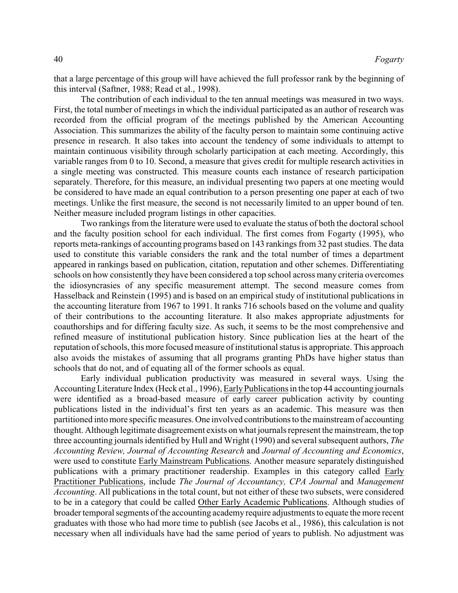that a large percentage of this group will have achieved the full professor rank by the beginning of this interval (Saftner, 1988; Read et al., 1998).

The contribution of each individual to the ten annual meetings was measured in two ways. First, the total number of meetings in which the individual participated as an author of research was recorded from the official program of the meetings published by the American Accounting Association. This summarizes the ability of the faculty person to maintain some continuing active presence in research. It also takes into account the tendency of some individuals to attempt to maintain continuous visibility through scholarly participation at each meeting. Accordingly, this variable ranges from 0 to 10. Second, a measure that gives credit for multiple research activities in a single meeting was constructed. This measure counts each instance of research participation separately. Therefore, for this measure, an individual presenting two papers at one meeting would be considered to have made an equal contribution to a person presenting one paper at each of two meetings. Unlike the first measure, the second is not necessarily limited to an upper bound of ten. Neither measure included program listings in other capacities.

Two rankings from the literature were used to evaluate the status of both the doctoral school and the faculty position school for each individual. The first comes from Fogarty (1995), who reports meta-rankings of accounting programs based on 143 rankings from 32 past studies. The data used to constitute this variable considers the rank and the total number of times a department appeared in rankings based on publication, citation, reputation and other schemes. Differentiating schools on how consistently they have been considered a top school across many criteria overcomes the idiosyncrasies of any specific measurement attempt. The second measure comes from Hasselback and Reinstein (1995) and is based on an empirical study of institutional publications in the accounting literature from 1967 to 1991. It ranks 716 schools based on the volume and quality of their contributions to the accounting literature. It also makes appropriate adjustments for coauthorships and for differing faculty size. As such, it seems to be the most comprehensive and refined measure of institutional publication history. Since publication lies at the heart of the reputation ofschools, this more focused measure of institutional status is appropriate. This approach also avoids the mistakes of assuming that all programs granting PhDs have higher status than schools that do not, and of equating all of the former schools as equal.

Early individual publication productivity was measured in several ways. Using the Accounting Literature Index (Heck et al., 1996), Early Publications in the top 44 accounting journals were identified as a broad-based measure of early career publication activity by counting publications listed in the individual's first ten years as an academic. This measure was then partitioned into more specific measures. One involved contributions to the mainstream of accounting thought. Although legitimate disagreement exists on what journals represent the mainstream, the top three accounting journals identified by Hull and Wright (1990) and several subsequent authors, *The Accounting Review, Journal of Accounting Research* and *Journal of Accounting and Economics*, were used to constitute Early Mainstream Publications. Another measure separately distinguished publications with a primary practitioner readership. Examples in this category called Early Practitioner Publications, include *The Journal of Accountancy, CPA Journal* and *Management Accounting*. All publications in the total count, but not either of these two subsets, were considered to be in a category that could be called Other Early Academic Publications. Although studies of broader temporal segments of the accounting academy require adjustments to equate the more recent graduates with those who had more time to publish (see Jacobs et al., 1986), this calculation is not necessary when all individuals have had the same period of years to publish. No adjustment was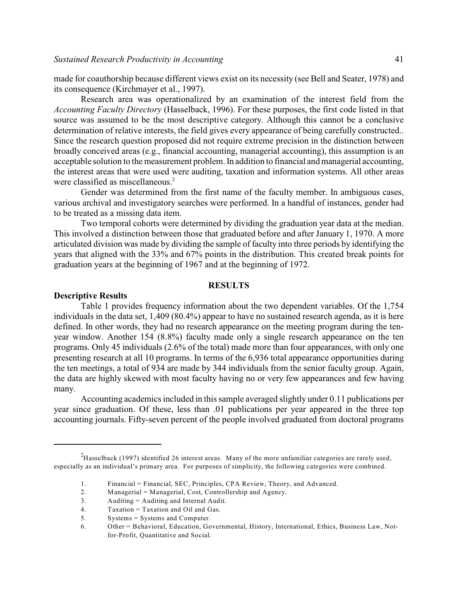made for coauthorship because different views exist on its necessity (see Bell and Seater, 1978) and its consequence (Kirchmayer et al., 1997).

Research area was operationalized by an examination of the interest field from the *Accounting Faculty Directory* (Hasselback, 1996). For these purposes, the first code listed in that source was assumed to be the most descriptive category. Although this cannot be a conclusive determination of relative interests, the field gives every appearance of being carefully constructed.. Since the research question proposed did not require extreme precision in the distinction between broadly conceived areas (e.g., financial accounting, managerial accounting), this assumption is an acceptable solution to the measurement problem. In addition to financial and managerial accounting, the interest areas that were used were auditing, taxation and information systems. All other areas were classified as miscellaneous.<sup>2</sup>

Gender was determined from the first name of the faculty member. In ambiguous cases, various archival and investigatory searches were performed. In a handful of instances, gender had to be treated as a missing data item.

Two temporal cohorts were determined by dividing the graduation year data at the median. This involved a distinction between those that graduated before and after January 1, 1970. A more articulated division was made by dividing the sample of faculty into three periods by identifying the years that aligned with the 33% and 67% points in the distribution. This created break points for graduation years at the beginning of 1967 and at the beginning of 1972.

### **RESULTS**

### **Descriptive Results**

Table 1 provides frequency information about the two dependent variables. Of the 1,754 individuals in the data set, 1,409 (80.4%) appear to have no sustained research agenda, as it is here defined. In other words, they had no research appearance on the meeting program during the tenyear window. Another 154 (8.8%) faculty made only a single research appearance on the ten programs. Only 45 individuals (2.6% of the total) made more than four appearances, with only one presenting research at all 10 programs. In terms of the 6,936 total appearance opportunities during the ten meetings, a total of 934 are made by 344 individuals from the senior faculty group. Again, the data are highly skewed with most faculty having no or very few appearances and few having many.

Accounting academics included in this sample averaged slightly under 0.11 publications per year since graduation. Of these, less than .01 publications per year appeared in the three top accounting journals. Fifty-seven percent of the people involved graduated from doctoral programs

 $h^2$ Hasselback (1997) identified 26 interest areas. Many of the more unfamiliar categories are rarely used, especially as an individual's primary area. For purposes of simplicity, the following categories were combined.

<sup>1.</sup> Financial = Financial, SEC, Principles, CPA Review, Theory, and Advanced.

<sup>2.</sup> Managerial = Managerial, Cost, Controllership and Agency.

<sup>3.</sup> Auditing = Auditing and Internal Audit.

<sup>4.</sup> Taxation = Taxation and Oil and Gas.

<sup>5.</sup> Systems = Systems and Computer.

<sup>6.</sup> Other = Behavioral, Education, Governmental, History, International, Ethics, Business Law, Notfor-Profit, Quantitative and Social.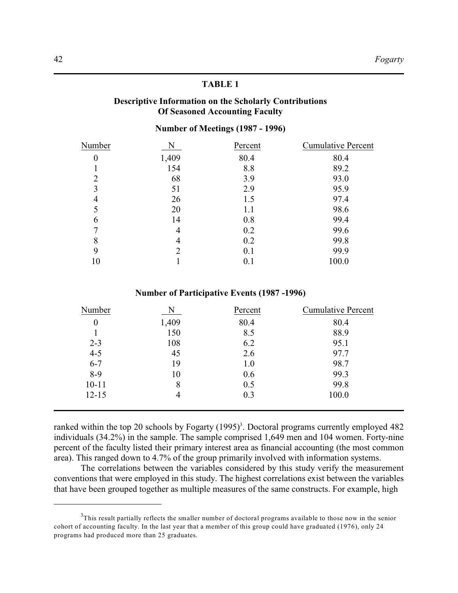## **Descriptive Information on the Scholarly Contributions Of Seasoned Accounting Faculty**

# **Number of Meetings (1987 - 1996)**

| Number   |       | Percent | <b>Cumulative Percent</b> |
|----------|-------|---------|---------------------------|
| $\theta$ | 1,409 | 80.4    | 80.4                      |
|          | 154   | 8.8     | 89.2                      |
| 2        | 68    | 3.9     | 93.0                      |
| 3        | 51    | 2.9     | 95.9                      |
| 4        | 26    | 1.5     | 97.4                      |
|          | 20    | 1.1     | 98.6                      |
| 6        | 14    | 0.8     | 99.4                      |
|          | 4     | 0.2     | 99.6                      |
| 8        | 4     | 0.2     | 99.8                      |
| 9        | 2     | 0.1     | 99.9                      |
| 10       |       | 0.1     | 100.0                     |

### **Number of Participative Events (1987 -1996)**

| Number           | N     | Percent | <b>Cumulative Percent</b> |
|------------------|-------|---------|---------------------------|
| $\boldsymbol{0}$ | 1,409 | 80.4    | 80.4                      |
|                  | 150   | 8.5     | 88.9                      |
| $2 - 3$          | 108   | 6.2     | 95.1                      |
| $4 - 5$          | 45    | 2.6     | 97.7                      |
| $6 - 7$          | 19    | 1.0     | 98.7                      |
| $8-9$            | 10    | 0.6     | 99.3                      |
| $10 - 11$        | 8     | 0.5     | 99.8                      |
| $12 - 15$        | 4     | 0.3     | 100.0                     |
|                  |       |         |                           |

ranked within the top 20 schools by Fogarty  $(1995)^3$ . Doctoral programs currently employed 482 individuals (34.2%) in the sample. The sample comprised 1,649 men and 104 women. Forty-nine percent of the faculty listed their primary interest area as financial accounting (the most common area). This ranged down to 4.7% of the group primarily involved with information systems.

The correlations between the variables considered by this study verify the measurement conventions that were employed in this study. The highest correlations exist between the variables that have been grouped together as multiple measures of the same constructs. For example, high

 $3$ This result partially reflects the smaller number of doctoral programs available to those now in the senior cohort of accounting faculty. In the last year that a member of this group could have graduated (1976), only 24 programs had produced more than 25 graduates.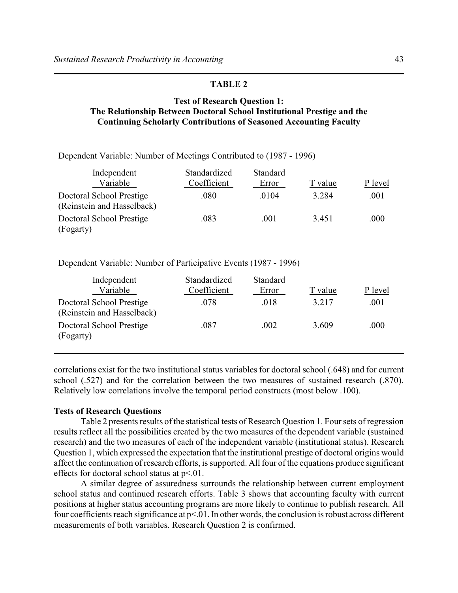# **Test of Research Question 1: The Relationship Between Doctoral School Institutional Prestige and the Continuing Scholarly Contributions of Seasoned Accounting Faculty**

Dependent Variable: Number of Meetings Contributed to (1987 - 1996)

| Independent                                            | Standardized | Standard |         |         |
|--------------------------------------------------------|--------------|----------|---------|---------|
| Variable                                               | Coefficient  | Error    | T value | P level |
| Doctoral School Prestige<br>(Reinstein and Hasselback) | .080         | .0104    | 3.284   | .001    |
| Doctoral School Prestige<br>(Fogarty)                  | .083         | .001     | 3.451   | .000    |

Dependent Variable: Number of Participative Events (1987 - 1996)

| Independent<br>Variable                                | Standardized<br>Coefficient | <b>Standard</b><br>Error | T value | P level |
|--------------------------------------------------------|-----------------------------|--------------------------|---------|---------|
| Doctoral School Prestige<br>(Reinstein and Hasselback) | .078                        | .018                     | 3.217   | .001    |
| Doctoral School Prestige<br>(Fogarty)                  | .087                        | .002                     | 3.609   | .000    |

correlations exist for the two institutional status variables for doctoral school (.648) and for current school (.527) and for the correlation between the two measures of sustained research (.870). Relatively low correlations involve the temporal period constructs (most below .100).

### **Tests of Research Questions**

Table 2 presents results of the statistical tests of Research Question 1. Foursets of regression results reflect all the possibilities created by the two measures of the dependent variable (sustained research) and the two measures of each of the independent variable (institutional status). Research Question 1, which expressed the expectation that the institutional prestige of doctoral origins would affect the continuation ofresearch efforts, is supported. All four of the equations produce significant effects for doctoral school status at p<.01.

A similar degree of assuredness surrounds the relationship between current employment school status and continued research efforts. Table 3 shows that accounting faculty with current positions at higher status accounting programs are more likely to continue to publish research. All four coefficients reach significance at  $p<0.01$ . In other words, the conclusion is robust across different measurements of both variables. Research Question 2 is confirmed.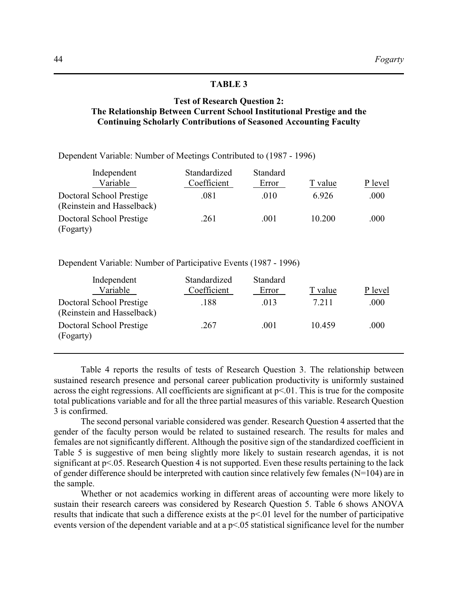# **Test of Research Question 2: The Relationship Between Current School Institutional Prestige and the Continuing Scholarly Contributions of Seasoned Accounting Faculty**

Dependent Variable: Number of Meetings Contributed to (1987 - 1996)

| Independent                                            | Standardized | Standard |         |         |
|--------------------------------------------------------|--------------|----------|---------|---------|
| Variable                                               | Coefficient  | Error    | T value | P level |
| Doctoral School Prestige<br>(Reinstein and Hasselback) | .081         | .010     | 6.926   | .000    |
| Doctoral School Prestige<br>(Fogarty)                  | .261         | .001     | 10.200  | .000    |

Dependent Variable: Number of Participative Events (1987 - 1996)

| Independent                                            | Standardized | Standard |         |         |
|--------------------------------------------------------|--------------|----------|---------|---------|
| Variable                                               | Coefficient  | Error    | T value | P level |
| Doctoral School Prestige<br>(Reinstein and Hasselback) | .188         | .013     | 7.211   | .000    |
| Doctoral School Prestige<br>(Fogarty)                  | .267         | .001     | 10.459  | .000    |

Table 4 reports the results of tests of Research Question 3. The relationship between sustained research presence and personal career publication productivity is uniformly sustained across the eight regressions. All coefficients are significant at  $p<01$ . This is true for the composite total publications variable and for all the three partial measures of this variable. Research Question 3 is confirmed.

The second personal variable considered was gender. Research Question 4 asserted that the gender of the faculty person would be related to sustained research. The results for males and females are not significantly different. Although the positive sign of the standardized coefficient in Table 5 is suggestive of men being slightly more likely to sustain research agendas, it is not significant at p<.05. Research Question 4 is not supported. Even these results pertaining to the lack of gender difference should be interpreted with caution since relatively few females (N=104) are in the sample.

Whether or not academics working in different areas of accounting were more likely to sustain their research careers was considered by Research Question 5. Table 6 shows ANOVA results that indicate that such a difference exists at the p<.01 level for the number of participative events version of the dependent variable and at a p<.05 statistical significance level for the number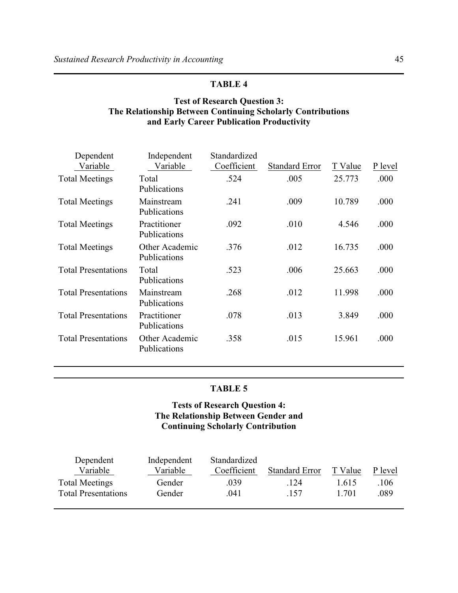# **Test of Research Question 3: The Relationship Between Continuing Scholarly Contributions and Early Career Publication Productivity**

| Dependent<br>Variable      | Independent<br>Variable        | Standardized<br>Coefficient | <b>Standard Error</b> | T Value | P level |
|----------------------------|--------------------------------|-----------------------------|-----------------------|---------|---------|
| <b>Total Meetings</b>      | Total<br>Publications          | .524                        | .005                  | 25.773  | .000    |
| <b>Total Meetings</b>      | Mainstream<br>Publications     | .241                        | .009                  | 10.789  | .000    |
| <b>Total Meetings</b>      | Practitioner<br>Publications   | .092                        | .010                  | 4.546   | .000    |
| <b>Total Meetings</b>      | Other Academic<br>Publications | .376                        | .012                  | 16.735  | .000    |
| <b>Total Presentations</b> | Total<br>Publications          | .523                        | .006                  | 25.663  | .000    |
| <b>Total Presentations</b> | Mainstream<br>Publications     | .268                        | .012                  | 11.998  | .000    |
| <b>Total Presentations</b> | Practitioner<br>Publications   | .078                        | .013                  | 3.849   | .000    |
| <b>Total Presentations</b> | Other Academic<br>Publications | .358                        | .015                  | 15.961  | .000    |
|                            |                                |                             |                       |         |         |

# **TABLE 5**

# **Tests of Research Question 4: The Relationship Between Gender and Continuing Scholarly Contribution**

| Dependent<br>Variable      | Independent<br>Variable | Standardized<br>Coefficient | <b>Standard Error</b> | T Value | P level |
|----------------------------|-------------------------|-----------------------------|-----------------------|---------|---------|
| <b>Total Meetings</b>      | Gender                  | .039                        | .124                  | 1.615   | .106    |
| <b>Total Presentations</b> | Gender                  | .041                        | .157                  | 1.701   | .089    |
|                            |                         |                             |                       |         |         |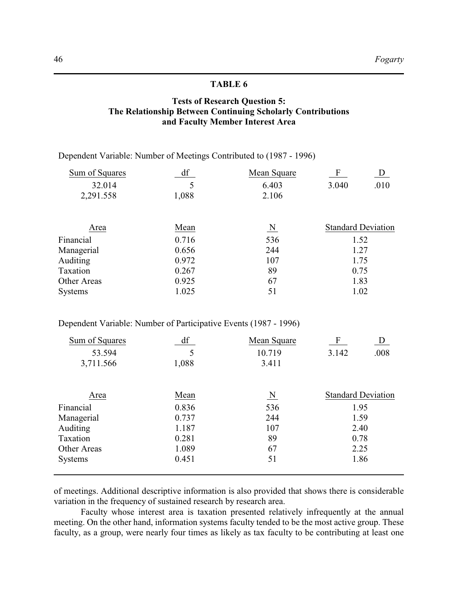# **Tests of Research Question 5: The Relationship Between Continuing Scholarly Contributions and Faculty Member Interest Area**

Dependent Variable: Number of Meetings Contributed to (1987 - 1996)

| F<br>Mean Square<br>D     |
|---------------------------|
| .010<br>6.403<br>3.040    |
| 2.106                     |
| <b>Standard Deviation</b> |
| 536<br>1.52               |
| 244<br>1.27               |
| 107<br>1.75               |
| 89<br>0.75                |
| 67<br>1.83                |
| 1.02                      |
| $\overline{\mathbf{N}}$   |

Dependent Variable: Number of Participative Events (1987 - 1996)

| Sum of Squares     | df    | Mean Square             | $\mathbf{F}$              |      |
|--------------------|-------|-------------------------|---------------------------|------|
| 53.594             | 5     | 10.719                  | 3.142                     | .008 |
| 3,711.566          | 1,088 | 3.411                   |                           |      |
| Area               | Mean  | $\overline{\mathbf{N}}$ | <b>Standard Deviation</b> |      |
| Financial          | 0.836 | 536                     | 1.95                      |      |
| Managerial         | 0.737 | 244                     | 1.59                      |      |
| Auditing           | 1.187 | 107                     | 2.40                      |      |
| Taxation           | 0.281 | 89                      | 0.78                      |      |
| <b>Other Areas</b> | 1.089 | 67                      | 2.25                      |      |
| <b>Systems</b>     | 0.451 | 51                      |                           | 1.86 |

of meetings. Additional descriptive information is also provided that shows there is considerable variation in the frequency of sustained research by research area.

Faculty whose interest area is taxation presented relatively infrequently at the annual meeting. On the other hand, information systems faculty tended to be the most active group. These faculty, as a group, were nearly four times as likely as tax faculty to be contributing at least one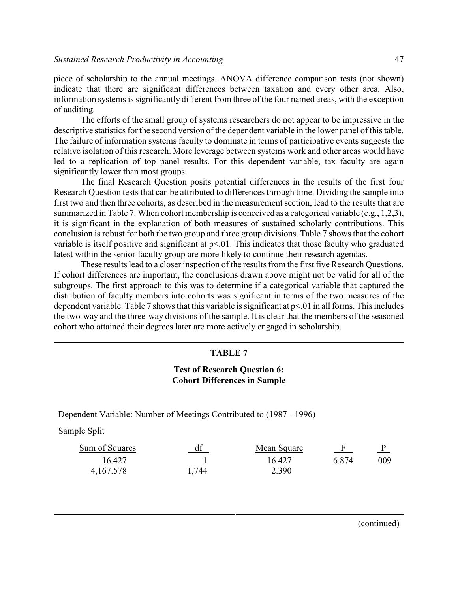piece of scholarship to the annual meetings. ANOVA difference comparison tests (not shown) indicate that there are significant differences between taxation and every other area. Also, information systems is significantly different from three of the four named areas, with the exception of auditing.

The efforts of the small group of systems researchers do not appear to be impressive in the descriptive statistics for the second version of the dependent variable in the lower panel of this table. The failure of information systems faculty to dominate in terms of participative events suggests the relative isolation of this research. More leverage between systems work and other areas would have led to a replication of top panel results. For this dependent variable, tax faculty are again significantly lower than most groups.

The final Research Question posits potential differences in the results of the first four Research Question tests that can be attributed to differences through time. Dividing the sample into first two and then three cohorts, as described in the measurement section, lead to the results that are summarized in Table 7. When cohort membership is conceived as a categorical variable (e.g., 1,2,3), it is significant in the explanation of both measures of sustained scholarly contributions. This conclusion is robust for both the two group and three group divisions. Table 7 shows that the cohort variable is itself positive and significant at  $p<01$ . This indicates that those faculty who graduated latest within the senior faculty group are more likely to continue their research agendas.

These results lead to a closer inspection of the results from the first five Research Questions. If cohort differences are important, the conclusions drawn above might not be valid for all of the subgroups. The first approach to this was to determine if a categorical variable that captured the distribution of faculty members into cohorts was significant in terms of the two measures of the dependent variable. Table 7 shows that this variable is significant at p<.01 in all forms. This includes the two-way and the three-way divisions of the sample. It is clear that the members of the seasoned cohort who attained their degrees later are more actively engaged in scholarship.

### **TABLE 7**

### **Test of Research Question 6: Cohort Differences in Sample**

Dependent Variable: Number of Meetings Contributed to (1987 - 1996)

Sample Split

| Sum of Squares | df    | Mean Square |       |      |
|----------------|-------|-------------|-------|------|
| 16.427         |       | 16.427      | 6.874 | .009 |
| 4,167.578      | 1,744 | 2.390       |       |      |

(continued)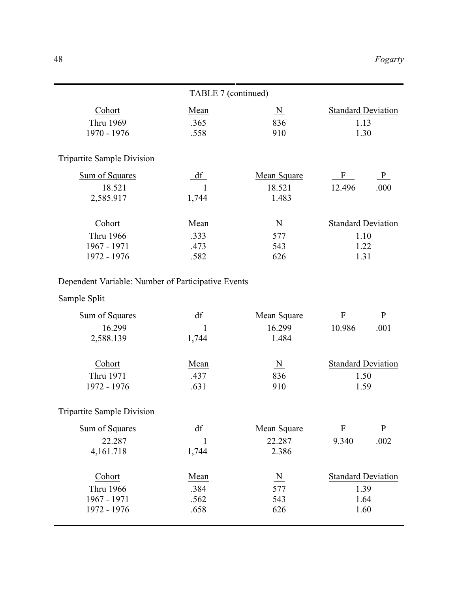|                                   | TABLE 7 (continued) |                         |                               |
|-----------------------------------|---------------------|-------------------------|-------------------------------|
| Cohort                            | Mean                | $\overline{\mathbf{N}}$ | <b>Standard Deviation</b>     |
| Thru 1969                         | .365                | 836                     | 1.13                          |
| 1970 - 1976                       | .558                | 910                     | 1.30                          |
| <b>Tripartite Sample Division</b> |                     |                         |                               |
| Sum of Squares                    | df                  | Mean Square             | $\frac{P}{P}$<br>$\mathbf{F}$ |
| 18.521                            |                     | 18.521                  | .000<br>12.496                |
| 2,585.917                         | 1,744               | 1.483                   |                               |
| Cohort                            | Mean                | $\overline{\mathbf{N}}$ | <b>Standard Deviation</b>     |
| Thru 1966                         | .333                | 577                     | 1.10                          |
| 1967 - 1971                       | .473                | 543                     | 1.22                          |
| 1972 - 1976                       | .582                | 626                     | 1.31                          |

# Dependent Variable: Number of Participative Events

# Sample Split

| Sum of Squares | dt    | Mean Square | F                         |      |
|----------------|-------|-------------|---------------------------|------|
| 16.299         |       | 16.299      | 10.986                    | .001 |
| 2,588.139      | 1,744 | 1.484       |                           |      |
| Cohort         | Mean  | N           | <b>Standard Deviation</b> |      |
| Thru 1971      | .437  | 836         | 1.50                      |      |
| 1972 - 1976    | .631  | 910         | 159                       |      |

# Tripartite Sample Division

| Sum of Squares |       | Mean Square | F                         | P    |
|----------------|-------|-------------|---------------------------|------|
| 22.287         |       | 22.287      | 9.340                     | .002 |
| 4,161.718      | 1,744 | 2.386       |                           |      |
| Cohort         | Mean  | N           | <b>Standard Deviation</b> |      |
| Thru 1966      | .384  | 577         | 1.39                      |      |
| 1967 - 1971    | .562  | 543         | 1.64                      |      |
| 1972 - 1976    | .658  | 626         | 1.60                      |      |
|                |       |             |                           |      |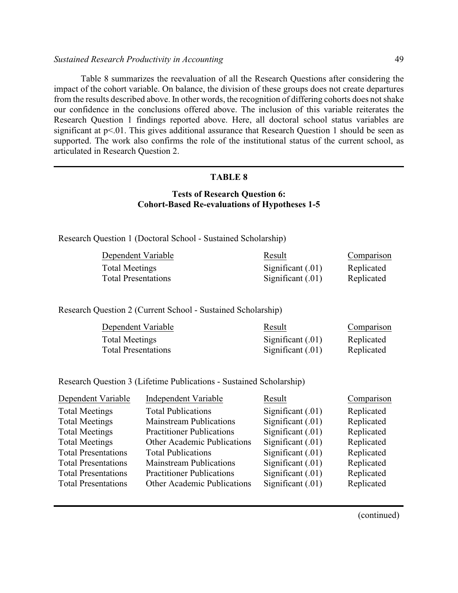### *Sustained Research Productivity in Accounting* 49

Table 8 summarizes the reevaluation of all the Research Questions after considering the impact of the cohort variable. On balance, the division of these groups does not create departures from the results described above. In other words, the recognition of differing cohorts does not shake our confidence in the conclusions offered above. The inclusion of this variable reiterates the Research Question 1 findings reported above. Here, all doctoral school status variables are significant at p<.01. This gives additional assurance that Research Question 1 should be seen as supported. The work also confirms the role of the institutional status of the current school, as articulated in Research Question 2.

# **TABLE 8**

# **Tests of Research Question 6: Cohort-Based Re-evaluations of Hypotheses 1-5**

Research Question 1 (Doctoral School - Sustained Scholarship)

| Dependent Variable         | Result              | Comparison |
|----------------------------|---------------------|------------|
| Total Meetings             | Significant $(.01)$ | Replicated |
| <b>Total Presentations</b> | Significant $(.01)$ | Replicated |

Research Question 2 (Current School - Sustained Scholarship)

| Dependent Variable         | Result              | Comparison |
|----------------------------|---------------------|------------|
| Total Meetings             | Significant $(.01)$ | Replicated |
| <b>Total Presentations</b> | Significant $(.01)$ | Replicated |

Research Question 3 (Lifetime Publications - Sustained Scholarship)

| Dependent Variable         | Independent Variable               | Result            | Comparison |
|----------------------------|------------------------------------|-------------------|------------|
| <b>Total Meetings</b>      | <b>Total Publications</b>          | Significant (.01) | Replicated |
| <b>Total Meetings</b>      | <b>Mainstream Publications</b>     | Significant (.01) | Replicated |
| <b>Total Meetings</b>      | <b>Practitioner Publications</b>   | Significant (.01) | Replicated |
| <b>Total Meetings</b>      | <b>Other Academic Publications</b> | Significant (.01) | Replicated |
| <b>Total Presentations</b> | <b>Total Publications</b>          | Significant (.01) | Replicated |
| <b>Total Presentations</b> | <b>Mainstream Publications</b>     | Significant (.01) | Replicated |
| <b>Total Presentations</b> | <b>Practitioner Publications</b>   | Significant (.01) | Replicated |
| <b>Total Presentations</b> | Other Academic Publications        | Significant (.01) | Replicated |
|                            |                                    |                   |            |

(continued)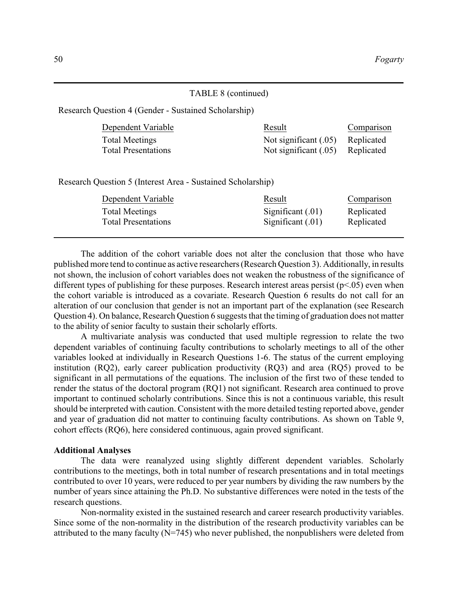### TABLE 8 (continued)

Research Question 4 (Gender - Sustained Scholarship)

| Dependent Variable         | Result                           | Comparison |
|----------------------------|----------------------------------|------------|
| Total Meetings             | Not significant (.05) Replicated |            |
| <b>Total Presentations</b> | Not significant (.05) Replicated |            |

Research Question 5 (Interest Area - Sustained Scholarship)

|                                                                                                   | Comparison               |
|---------------------------------------------------------------------------------------------------|--------------------------|
| Significant $(.01)$<br><b>Total Meetings</b><br>Significant $(.01)$<br><b>Total Presentations</b> | Replicated<br>Replicated |

The addition of the cohort variable does not alter the conclusion that those who have published more tend to continue as active researchers (Research Question 3). Additionally, in results not shown, the inclusion of cohort variables does not weaken the robustness of the significance of different types of publishing for these purposes. Research interest areas persist (p<.05) even when the cohort variable is introduced as a covariate. Research Question 6 results do not call for an alteration of our conclusion that gender is not an important part of the explanation (see Research Question 4). On balance, Research Question 6 suggests that the timing of graduation does not matter to the ability of senior faculty to sustain their scholarly efforts.

A multivariate analysis was conducted that used multiple regression to relate the two dependent variables of continuing faculty contributions to scholarly meetings to all of the other variables looked at individually in Research Questions 1-6. The status of the current employing institution (RQ2), early career publication productivity (RQ3) and area (RQ5) proved to be significant in all permutations of the equations. The inclusion of the first two of these tended to render the status of the doctoral program (RQ1) not significant. Research area continued to prove important to continued scholarly contributions. Since this is not a continuous variable, this result should be interpreted with caution. Consistent with the more detailed testing reported above, gender and year of graduation did not matter to continuing faculty contributions. As shown on Table 9, cohort effects (RQ6), here considered continuous, again proved significant.

#### **Additional Analyses**

The data were reanalyzed using slightly different dependent variables. Scholarly contributions to the meetings, both in total number of research presentations and in total meetings contributed to over 10 years, were reduced to per year numbers by dividing the raw numbers by the number of years since attaining the Ph.D. No substantive differences were noted in the tests of the research questions.

Non-normality existed in the sustained research and career research productivity variables. Since some of the non-normality in the distribution of the research productivity variables can be attributed to the many faculty  $(N=745)$  who never published, the nonpublishers were deleted from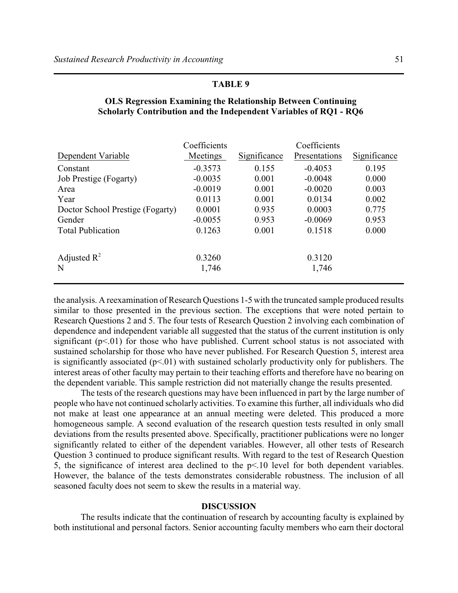| Dependent Variable               | Coefficients<br>Meetings | Significance | Coefficients<br>Presentations | Significance |
|----------------------------------|--------------------------|--------------|-------------------------------|--------------|
| Constant                         | $-0.3573$                | 0.155        | $-0.4053$                     | 0.195        |
| Job Prestige (Fogarty)           | $-0.0035$                | 0.001        | $-0.0048$                     | 0.000        |
| Area                             | $-0.0019$                | 0.001        | $-0.0020$                     | 0.003        |
| Year                             | 0.0113                   | 0.001        | 0.0134                        | 0.002        |
| Doctor School Prestige (Fogarty) | 0.0001                   | 0.935        | 0.0003                        | 0.775        |
| Gender                           | $-0.0055$                | 0.953        | $-0.0069$                     | 0.953        |
| <b>Total Publication</b>         | 0.1263                   | 0.001        | 0.1518                        | 0.000        |
| Adjusted $\mathbb{R}^2$<br>N     | 0.3260<br>1,746          |              | 0.3120<br>1,746               |              |

# **OLS Regression Examining the Relationship Between Continuing Scholarly Contribution and the Independent Variables of RQ1 - RQ6**

the analysis. A reexamination of Research Questions 1-5 with the truncated sample produced results similar to those presented in the previous section. The exceptions that were noted pertain to Research Questions 2 and 5. The four tests of Research Question 2 involving each combination of dependence and independent variable all suggested that the status of the current institution is only significant  $(p<.01)$  for those who have published. Current school status is not associated with sustained scholarship for those who have never published. For Research Question 5, interest area is significantly associated  $(p<01)$  with sustained scholarly productivity only for publishers. The interest areas of other faculty may pertain to their teaching efforts and therefore have no bearing on the dependent variable. This sample restriction did not materially change the results presented.

The tests of the research questions may have been influenced in part by the large number of people who have not continued scholarly activities. To examine this further, all individuals who did not make at least one appearance at an annual meeting were deleted. This produced a more homogeneous sample. A second evaluation of the research question tests resulted in only small deviations from the results presented above. Specifically, practitioner publications were no longer significantly related to either of the dependent variables. However, all other tests of Research Question 3 continued to produce significant results. With regard to the test of Research Question 5, the significance of interest area declined to the p<.10 level for both dependent variables. However, the balance of the tests demonstrates considerable robustness. The inclusion of all seasoned faculty does not seem to skew the results in a material way.

# **DISCUSSION**

The results indicate that the continuation of research by accounting faculty is explained by both institutional and personal factors. Senior accounting faculty members who earn their doctoral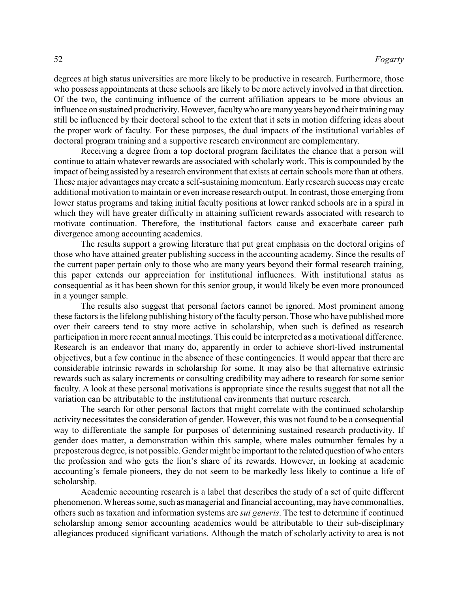degrees at high status universities are more likely to be productive in research. Furthermore, those who possess appointments at these schools are likely to be more actively involved in that direction. Of the two, the continuing influence of the current affiliation appears to be more obvious an influence on sustained productivity. However, facultywho are many years beyond their training may still be influenced by their doctoral school to the extent that it sets in motion differing ideas about the proper work of faculty. For these purposes, the dual impacts of the institutional variables of doctoral program training and a supportive research environment are complementary.

Receiving a degree from a top doctoral program facilitates the chance that a person will continue to attain whatever rewards are associated with scholarly work. This is compounded by the impact of being assisted by a research environment that exists at certain schools more than at others. These major advantages may create a self-sustaining momentum. Early research success may create additional motivation to maintain or even increase research output. In contrast, those emerging from lower status programs and taking initial faculty positions at lower ranked schools are in a spiral in which they will have greater difficulty in attaining sufficient rewards associated with research to motivate continuation. Therefore, the institutional factors cause and exacerbate career path divergence among accounting academics.

The results support a growing literature that put great emphasis on the doctoral origins of those who have attained greater publishing success in the accounting academy. Since the results of the current paper pertain only to those who are many years beyond their formal research training, this paper extends our appreciation for institutional influences. With institutional status as consequential as it has been shown for this senior group, it would likely be even more pronounced in a younger sample.

The results also suggest that personal factors cannot be ignored. Most prominent among these factors is the lifelong publishing history of the faculty person. Those who have published more over their careers tend to stay more active in scholarship, when such is defined as research participation in more recent annual meetings. This could be interpreted as a motivational difference. Research is an endeavor that many do, apparently in order to achieve short-lived instrumental objectives, but a few continue in the absence of these contingencies. It would appear that there are considerable intrinsic rewards in scholarship for some. It may also be that alternative extrinsic rewards such as salary increments or consulting credibility may adhere to research for some senior faculty. A look at these personal motivations is appropriate since the results suggest that not all the variation can be attributable to the institutional environments that nurture research.

The search for other personal factors that might correlate with the continued scholarship activity necessitates the consideration of gender. However, this was not found to be a consequential way to differentiate the sample for purposes of determining sustained research productivity. If gender does matter, a demonstration within this sample, where males outnumber females by a preposterous degree, is not possible. Gender might be important to the related question of who enters the profession and who gets the lion's share of its rewards. However, in looking at academic accounting's female pioneers, they do not seem to be markedly less likely to continue a life of scholarship.

Academic accounting research is a label that describes the study of a set of quite different phenomenon. Whereas some, such as managerial and financial accounting, may have commonalties, others such as taxation and information systems are *sui generis*. The test to determine if continued scholarship among senior accounting academics would be attributable to their sub-disciplinary allegiances produced significant variations. Although the match of scholarly activity to area is not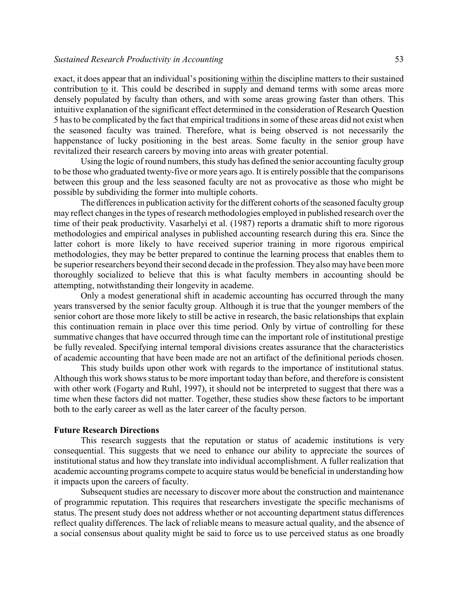### *Sustained Research Productivity in Accounting* 53

exact, it does appear that an individual's positioning within the discipline matters to their sustained contribution to it. This could be described in supply and demand terms with some areas more densely populated by faculty than others, and with some areas growing faster than others. This intuitive explanation of the significant effect determined in the consideration of Research Question 5 has to be complicated by the fact that empirical traditions in some of these areas did not exist when the seasoned faculty was trained. Therefore, what is being observed is not necessarily the happenstance of lucky positioning in the best areas. Some faculty in the senior group have revitalized their research careers by moving into areas with greater potential.

Using the logic of round numbers, this study has defined the senior accounting faculty group to be those who graduated twenty-five or more years ago. It is entirely possible that the comparisons between this group and the less seasoned faculty are not as provocative as those who might be possible by subdividing the former into multiple cohorts.

The differences in publication activity for the different cohorts of the seasoned faculty group may reflect changes in the types of research methodologies employed in published research over the time of their peak productivity. Vasarhelyi et al. (1987) reports a dramatic shift to more rigorous methodologies and empirical analyses in published accounting research during this era. Since the latter cohort is more likely to have received superior training in more rigorous empirical methodologies, they may be better prepared to continue the learning process that enables them to be superior researchers beyond their second decade in the profession. They also may have been more thoroughly socialized to believe that this is what faculty members in accounting should be attempting, notwithstanding their longevity in academe.

Only a modest generational shift in academic accounting has occurred through the many years transversed by the senior faculty group. Although it is true that the younger members of the senior cohort are those more likely to still be active in research, the basic relationships that explain this continuation remain in place over this time period. Only by virtue of controlling for these summative changes that have occurred through time can the important role of institutional prestige be fully revealed. Specifying internal temporal divisions creates assurance that the characteristics of academic accounting that have been made are not an artifact of the definitional periods chosen.

This study builds upon other work with regards to the importance of institutional status. Although this work shows status to be more important today than before, and therefore is consistent with other work (Fogarty and Ruhl, 1997), it should not be interpreted to suggest that there was a time when these factors did not matter. Together, these studies show these factors to be important both to the early career as well as the later career of the faculty person.

### **Future Research Directions**

This research suggests that the reputation or status of academic institutions is very consequential. This suggests that we need to enhance our ability to appreciate the sources of institutional status and how they translate into individual accomplishment. A fuller realization that academic accounting programs compete to acquire status would be beneficial in understanding how it impacts upon the careers of faculty.

Subsequent studies are necessary to discover more about the construction and maintenance of programmic reputation. This requires that researchers investigate the specific mechanisms of status. The present study does not address whether or not accounting department status differences reflect quality differences. The lack of reliable means to measure actual quality, and the absence of a social consensus about quality might be said to force us to use perceived status as one broadly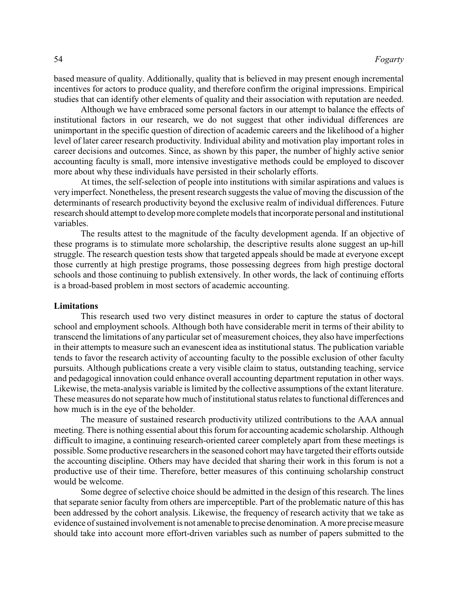based measure of quality. Additionally, quality that is believed in may present enough incremental incentives for actors to produce quality, and therefore confirm the original impressions. Empirical studies that can identify other elements of quality and their association with reputation are needed.

Although we have embraced some personal factors in our attempt to balance the effects of institutional factors in our research, we do not suggest that other individual differences are unimportant in the specific question of direction of academic careers and the likelihood of a higher level of later career research productivity. Individual ability and motivation play important roles in career decisions and outcomes. Since, as shown by this paper, the number of highly active senior accounting faculty is small, more intensive investigative methods could be employed to discover more about why these individuals have persisted in their scholarly efforts.

At times, the self-selection of people into institutions with similar aspirations and values is very imperfect. Nonetheless, the present research suggests the value of moving the discussion of the determinants of research productivity beyond the exclusive realm of individual differences. Future research should attempt to develop more complete models that incorporate personal and institutional variables.

The results attest to the magnitude of the faculty development agenda. If an objective of these programs is to stimulate more scholarship, the descriptive results alone suggest an up-hill struggle. The research question tests show that targeted appeals should be made at everyone except those currently at high prestige programs, those possessing degrees from high prestige doctoral schools and those continuing to publish extensively. In other words, the lack of continuing efforts is a broad-based problem in most sectors of academic accounting.

### **Limitations**

This research used two very distinct measures in order to capture the status of doctoral school and employment schools. Although both have considerable merit in terms of their ability to transcend the limitations of any particular set of measurement choices, they also have imperfections in their attempts to measure such an evanescent idea as institutional status. The publication variable tends to favor the research activity of accounting faculty to the possible exclusion of other faculty pursuits. Although publications create a very visible claim to status, outstanding teaching, service and pedagogical innovation could enhance overall accounting department reputation in other ways. Likewise, the meta-analysis variable is limited by the collective assumptions of the extant literature. These measures do not separate how much of institutional status relates to functional differences and how much is in the eye of the beholder.

The measure of sustained research productivity utilized contributions to the AAA annual meeting. There is nothing essential about this forum for accounting academic scholarship. Although difficult to imagine, a continuing research-oriented career completely apart from these meetings is possible. Some productive researchers in the seasoned cohort may have targeted their efforts outside the accounting discipline. Others may have decided that sharing their work in this forum is not a productive use of their time. Therefore, better measures of this continuing scholarship construct would be welcome.

Some degree of selective choice should be admitted in the design of this research. The lines that separate senior faculty from others are imperceptible. Part of the problematic nature of this has been addressed by the cohort analysis. Likewise, the frequency of research activity that we take as evidence of sustained involvement is not amenable to precise denomination. A more precise measure should take into account more effort-driven variables such as number of papers submitted to the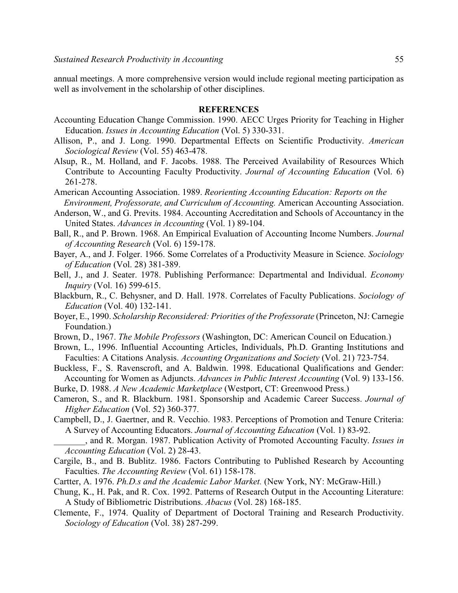annual meetings. A more comprehensive version would include regional meeting participation as well as involvement in the scholarship of other disciplines.

#### **REFERENCES**

- Accounting Education Change Commission. 1990. AECC Urges Priority for Teaching in Higher Education. *Issues in Accounting Education* (Vol. 5) 330-331.
- Allison, P., and J. Long. 1990. Departmental Effects on Scientific Productivity. *American Sociological Review* (Vol. 55) 463-478.
- Alsup, R., M. Holland, and F. Jacobs. 1988. The Perceived Availability of Resources Which Contribute to Accounting Faculty Productivity. *Journal of Accounting Education* (Vol. 6) 261-278.
- American Accounting Association. 1989. *Reorienting Accounting Education: Reports on the Environment, Professorate, and Curriculum of Accounting.* American Accounting Association.
- Anderson, W., and G. Previts. 1984. Accounting Accreditation and Schools of Accountancy in the United States. *Advances in Accounting* (Vol. 1) 89-104.
- Ball, R., and P. Brown. 1968. An Empirical Evaluation of Accounting Income Numbers. *Journal of Accounting Research* (Vol. 6) 159-178.
- Bayer, A., and J. Folger. 1966. Some Correlates of a Productivity Measure in Science. *Sociology of Education* (Vol. 28) 381-389.
- Bell, J., and J. Seater. 1978. Publishing Performance: Departmental and Individual. *Economy Inquiry* (Vol. 16) 599-615.
- Blackburn, R., C. Behysner, and D. Hall. 1978. Correlates of Faculty Publications. *Sociology of Education* (Vol. 40) 132-141.
- Boyer, E., 1990. *Scholarship Reconsidered: Priorities of the Professorate* (Princeton, NJ: Carnegie Foundation.)
- Brown, D., 1967. *The Mobile Professors* (Washington, DC: American Council on Education.)
- Brown, L., 1996. Influential Accounting Articles, Individuals, Ph.D. Granting Institutions and Faculties: A Citations Analysis. *Accounting Organizations and Society* (Vol. 21) 723-754.
- Buckless, F., S. Ravenscroft, and A. Baldwin. 1998. Educational Qualifications and Gender: Accounting for Women as Adjuncts. *Advances in Public Interest Accounting* (Vol. 9) 133-156.
- Burke, D. 1988. *A New Academic Marketplace* (Westport, CT: Greenwood Press.)
- Cameron, S., and R. Blackburn. 1981. Sponsorship and Academic Career Success. *Journal of Higher Education* (Vol. 52) 360-377.
- Campbell, D., J. Gaertner, and R. Vecchio. 1983. Perceptions of Promotion and Tenure Criteria: A Survey of Accounting Educators. *Journal of Accounting Education* (Vol. 1) 83-92.
	- \_\_\_\_\_\_\_, and R. Morgan. 1987. Publication Activity of Promoted Accounting Faculty. *Issues in Accounting Education* (Vol. 2) 28-43.
- Cargile, B., and B. Bublitz. 1986. Factors Contributing to Published Research by Accounting Faculties. *The Accounting Review* (Vol. 61) 158-178.
- Cartter, A. 1976. *Ph.D.s and the Academic Labor Market.* (New York, NY: McGraw-Hill.)
- Chung, K., H. Pak, and R. Cox. 1992. Patterns of Research Output in the Accounting Literature: A Study of Bibliometric Distributions. *Abacus* (Vol. 28) 168-185.
- Clemente, F., 1974. Quality of Department of Doctoral Training and Research Productivity. *Sociology of Education* (Vol. 38) 287-299.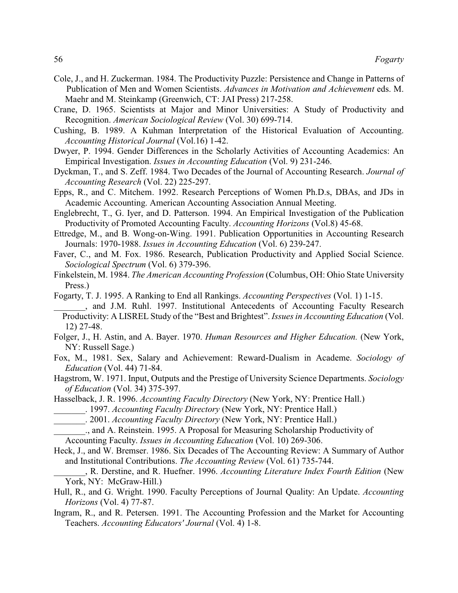- Cole, J., and H. Zuckerman. 1984. The Productivity Puzzle: Persistence and Change in Patterns of Publication of Men and Women Scientists. *Advances in Motivation and Achievement* eds. M. Maehr and M. Steinkamp (Greenwich, CT: JAI Press) 217-258.
- Crane, D. 1965. Scientists at Major and Minor Universities: A Study of Productivity and Recognition. *American Sociological Review* (Vol. 30) 699-714.
- Cushing, B. 1989. A Kuhman Interpretation of the Historical Evaluation of Accounting. *Accounting Historical Journal* (Vol.16) 1-42.
- Dwyer, P. 1994. Gender Differences in the Scholarly Activities of Accounting Academics: An Empirical Investigation. *Issues in Accounting Education* (Vol. 9) 231-246.
- Dyckman, T., and S. Zeff. 1984. Two Decades of the Journal of Accounting Research. *Journal of Accounting Research* (Vol. 22) 225-297.
- Epps, R., and C. Mitchem. 1992. Research Perceptions of Women Ph.D.s, DBAs, and JDs in Academic Accounting. American Accounting Association Annual Meeting.
- Englebrecht, T., G. Iyer, and D. Patterson. 1994. An Empirical Investigation of the Publication Productivity of Promoted Accounting Faculty. *Accounting Horizons* (Vol.8) 45-68.
- Ettredge, M., and B. Wong-on-Wing. 1991. Publication Opportunities in Accounting Research Journals: 1970-1988. *Issues in Accounting Education* (Vol. 6) 239-247.
- Faver, C., and M. Fox. 1986. Research, Publication Productivity and Applied Social Science. *Sociological Spectrum* (Vol. 6) 379-396.
- Finkelstein, M. 1984. *The American Accounting Profession* (Columbus, OH: Ohio State University Press.)
- Fogarty, T. J. 1995. A Ranking to End all Rankings. *Accounting Perspectives* (Vol. 1) 1-15. \_\_\_\_\_\_\_, and J.M. Ruhl. 1997. Institutional Antecedents of Accounting Faculty Research Productivity: A LISREL Study of the "Best and Brightest". *Issues in Accounting Education* (Vol. 12) 27-48.
- Folger, J., H. Astin, and A. Bayer. 1970. *Human Resources and Higher Education.* (New York, NY: Russell Sage.)
- Fox, M., 1981. Sex, Salary and Achievement: Reward-Dualism in Academe. *Sociology of Education* (Vol. 44) 71-84.
- Hagstrom, W. 1971. Input, Outputs and the Prestige of University Science Departments. *Sociology of Education* (Vol. 34) 375-397.
- Hasselback, J. R. 1996. *Accounting Faculty Directory* (New York, NY: Prentice Hall.)
	- \_\_\_\_\_\_\_. 1997. *Accounting Faculty Directory* (New York, NY: Prentice Hall.)
- \_\_\_\_\_\_\_. 2001. *Accounting Faculty Directory* (New York, NY: Prentice Hall.)
- \_\_\_\_\_\_\_., and A. Reinstein. 1995. A Proposal for Measuring Scholarship Productivity of
- Accounting Faculty. *Issues in Accounting Education* (Vol. 10) 269-306.
- Heck, J., and W. Bremser. 1986. Six Decades of The Accounting Review: A Summary of Author and Institutional Contributions. *The Accounting Review* (Vol. 61) 735-744.
- \_\_\_\_\_\_\_, R. Derstine, and R. Huefner. 1996. *Accounting Literature Index Fourth Edition* (New York, NY: McGraw-Hill.)
- Hull, R., and G. Wright. 1990. Faculty Perceptions of Journal Quality: An Update. *Accounting Horizons* (Vol. 4) 77-87.
- Ingram, R., and R. Petersen. 1991. The Accounting Profession and the Market for Accounting Teachers. *Accounting Educators' Journal* (Vol. 4) 1-8.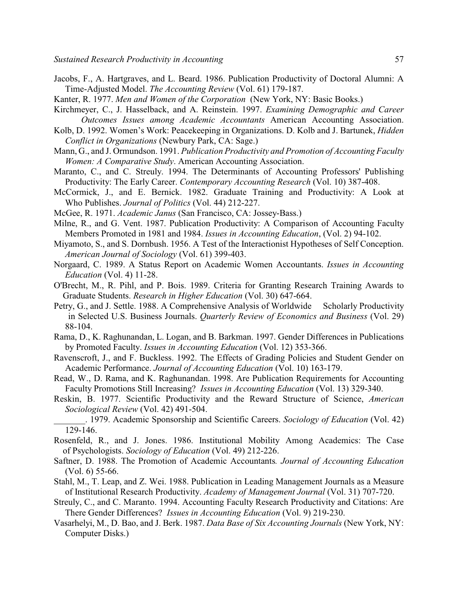- Jacobs, F., A. Hartgraves, and L. Beard. 1986. Publication Productivity of Doctoral Alumni: A Time-Adjusted Model. *The Accounting Review* (Vol. 61) 179-187.
- Kanter, R. 1977. *Men and Women of the Corporation* (New York, NY: Basic Books.)
- Kirchmeyer, C., J. Hasselback, and A. Reinstein. 1997. *Examining Demographic and Career Outcomes Issues among Academic Accountants* American Accounting Association.
- Kolb, D. 1992. Women's Work: Peacekeeping in Organizations. D. Kolb and J. Bartunek, *Hidden Conflict in Organizations* (Newbury Park, CA: Sage.)
- Mann, G., and J. Ormundson. 1991. *Publication Productivity and Promotion of Accounting Faculty Women: A Comparative Study*. American Accounting Association.
- Maranto, C., and C. Streuly. 1994. The Determinants of Accounting Professors' Publishing Productivity: The Early Career. *Contemporary Accounting Research* (Vol. 10) 387-408.
- McCormick, J., and E. Bernick. 1982. Graduate Training and Productivity: A Look at Who Publishes. *Journal of Politics* (Vol. 44) 212-227.
- McGee, R. 1971. *Academic Janus* (San Francisco, CA: Jossey-Bass.)
- Milne, R., and G. Vent. 1987. Publication Productivity: A Comparison of Accounting Faculty Members Promoted in 1981 and 1984. *Issues in Accounting Education*, (Vol. 2) 94-102.
- Miyamoto, S., and S. Dornbush. 1956. A Test of the Interactionist Hypotheses of Self Conception. *American Journal of Sociology* (Vol. 61) 399-403.
- Norgaard, C. 1989. A Status Report on Academic Women Accountants. *Issues in Accounting Education* (Vol. 4) 11-28.
- O'Brecht, M., R. Pihl, and P. Bois. 1989. Criteria for Granting Research Training Awards to Graduate Students. *Research in Higher Education* (Vol. 30) 647-664.
- Petry, G., and J. Settle. 1988. A Comprehensive Analysis of Worldwide Scholarly Productivity in Selected U.S. Business Journals. *Quarterly Review of Economics and Business* (Vol. 29) 88-104.
- Rama, D., K. Raghunandan, L. Logan, and B. Barkman. 1997. Gender Differences in Publications by Promoted Faculty. *Issues in Accounting Education* (Vol. 12) 353-366.
- Ravenscroft, J., and F. Buckless. 1992. The Effects of Grading Policies and Student Gender on Academic Performance. *Journal of Accounting Education* (Vol. 10) 163-179.
- Read, W., D. Rama, and K. Raghunandan. 1998. Are Publication Requirements for Accounting Faculty Promotions Still Increasing? *Issues in Accounting Education* (Vol. 13) 329-340.
- Reskin, B. 1977. Scientific Productivity and the Reward Structure of Science, *American Sociological Review* (Vol. 42) 491-504.
- \_\_\_\_\_\_\_. 1979. Academic Sponsorship and Scientific Careers. *Sociology of Education* (Vol. 42) 129-146.
- Rosenfeld, R., and J. Jones. 1986. Institutional Mobility Among Academics: The Case of Psychologists. *Sociology of Education* (Vol. 49) 212-226.
- Saftner, D. 1988. The Promotion of Academic Accountants*. Journal of Accounting Education* (Vol. 6) 55-66.
- Stahl, M., T. Leap, and Z. Wei. 1988. Publication in Leading Management Journals as a Measure of Institutional Research Productivity. *Academy of Management Journal* (Vol. 31) 707-720.
- Streuly, C., and C. Maranto. 1994. Accounting Faculty Research Productivity and Citations: Are There Gender Differences? *Issues in Accounting Education* (Vol. 9) 219-230.
- Vasarhelyi, M., D. Bao, and J. Berk. 1987. *Data Base of Six Accounting Journals* (New York, NY: Computer Disks.)